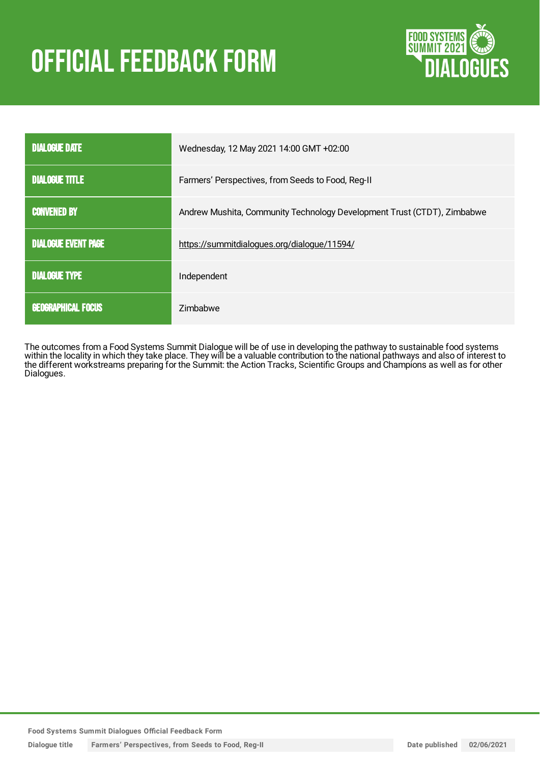# **OFFICIAL FEEDBACK FORM**



| <b>DIALOGUE DATE</b>       | Wednesday, 12 May 2021 14:00 GMT +02:00                                 |
|----------------------------|-------------------------------------------------------------------------|
| <b>DIALOGUE TITLE</b>      | Farmers' Perspectives, from Seeds to Food, Reg-II                       |
| <b>CONVENED BY</b>         | Andrew Mushita, Community Technology Development Trust (CTDT), Zimbabwe |
| <b>DIALOGUE EVENT PAGE</b> | https://summitdialogues.org/dialogue/11594/                             |
| <b>DIALOGUE TYPE</b>       | Independent                                                             |
| <b>GEOGRAPHICAL FOCUS</b>  | Zimbabwe                                                                |

The outcomes from a Food Systems Summit Dialogue will be of use in developing the pathway to sustainable food systems within the locality in which they take place. They will be a valuable contribution to the national pathways and also of interest to the different workstreams preparing for the Summit: the Action Tracks, Scientific Groups and Champions as well as for other Dialogues.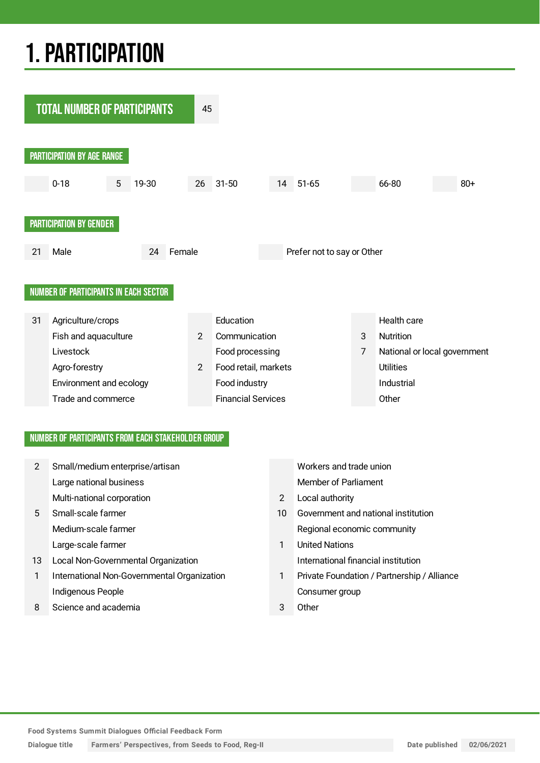## 1.PARTICIPATION



#### NUMBER OF PARTICIPANTS FROM EACH STAKEHOLDER GROUP

| $\mathcal{P}$ | Small/medium enterprise/artisan             |                | Workers and trade union                     |
|---------------|---------------------------------------------|----------------|---------------------------------------------|
|               | Large national business                     |                | Member of Parliament                        |
|               | Multi-national corporation                  | $\overline{2}$ | Local authority                             |
| 5             | Small-scale farmer                          | 10             | Government and national institution         |
|               | Medium-scale farmer                         |                | Regional economic community                 |
|               | Large-scale farmer                          | $\mathbf{1}$   | <b>United Nations</b>                       |
| 13            | Local Non-Governmental Organization         |                | International financial institution         |
|               | International Non-Governmental Organization | 1              | Private Foundation / Partnership / Alliance |
|               | Indigenous People                           |                | Consumer group                              |
| 8             | Science and academia                        | 3              | Other                                       |
|               |                                             |                |                                             |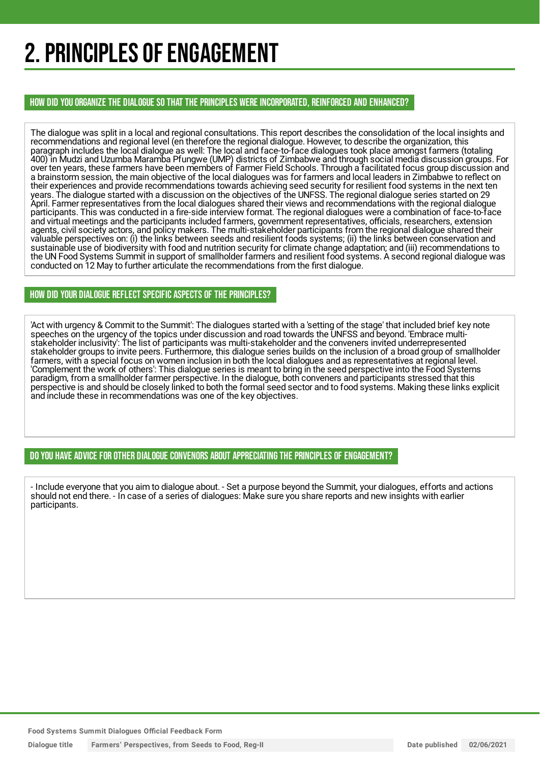## 2. PRINCIPLES OF ENGAGEMENT

HOW DID YOU ORGANIZE THE DIALOGUE SO THAT THE PRINCIPLES WERE INCORPORATED, REINFORCED AND ENHANCED?

The dialogue was split in a local and regional consultations. This report describes the consolidation of the local insights and recommendations and regional level (en therefore the regional dialogue. However, to describe the organization, this paragraph includes the local dialogue as well: The local and face-to-face dialogues took place amongst farmers (totaling 400) in Mudzi and Uzumba Maramba Pfungwe (UMP) districts of Zimbabwe and through social media discussion groups. For over ten years, these farmers have been members of Farmer Field Schools. Through a facilitated focus group discussion and a brainstorm session, the main objective of the local dialogues was for farmers and local leaders in Zimbabwe to reflect on their experiences and provide recommendations towards achieving seed security for resilient food systems in the next ten years. The dialogue started with a discussion on the objectives of the UNFSS. The regional dialogue series started on 29 April. Farmer representatives from the local dialogues shared their views and recommendations with the regional dialogue participants. This was conducted in a fire-side interview format. The regional dialogues were a combination of face-to-face and virtual meetings and the participants included farmers, government representatives, officials, researchers, extension agents, civil society actors, and policy makers. The multi-stakeholder participants from the regional dialogue shared their valuable perspectives on: (i) the links between seeds and resilient foods systems; (ii) the links between conservation and sustainable use of biodiversity with food and nutrition security for climate change adaptation; and (iii) recommendations to the UN Food Systems Summit in support of smallholder farmers and resilient food systems. A second regional dialogue was conducted on 12 May to further articulate the recommendations from the first dialogue.

#### HOW DID YOUR DIALOGUE REFLECT SPECIFIC ASPECTS OF THE PRINCIPLES?

'Act with urgency & Commit to the Summit': The dialogues started with a 'setting of the stage' that included brief key note speeches on the urgency of the topics under discussion and road towards the UNFSS and beyond. 'Embrace multistakeholder inclusivity': The list of participants was multi-stakeholder and the conveners invited underrepresented stakeholder groups to invite peers. Furthermore, this dialogue series builds on the inclusion of a broad group of smallholder farmers, with a special focus on women inclusion in both the local dialogues and as representatives at regional level. 'Complement the work of others': This dialogue series is meant to bring in the seed perspective into the Food Systems paradigm, from a smallholder farmer perspective. In the dialogue, both conveners and participants stressed that this perspective is and should be closely linked to both the formal seed sector and to food systems. Making these links explicit and include these in recommendations was one of the key objectives.

#### DO YOU HAVE ADVICE FOR OTHER DIALOGUE CONVENORS ABOUT APPRECIATING THE PRINCIPLES OF ENGAGEMENT?

- Include everyone that you aim to dialogue about. - Set a purpose beyond the Summit, your dialogues, efforts and actions should not end there. - In case of a series of dialogues: Make sure you share reports and new insights with earlier participants.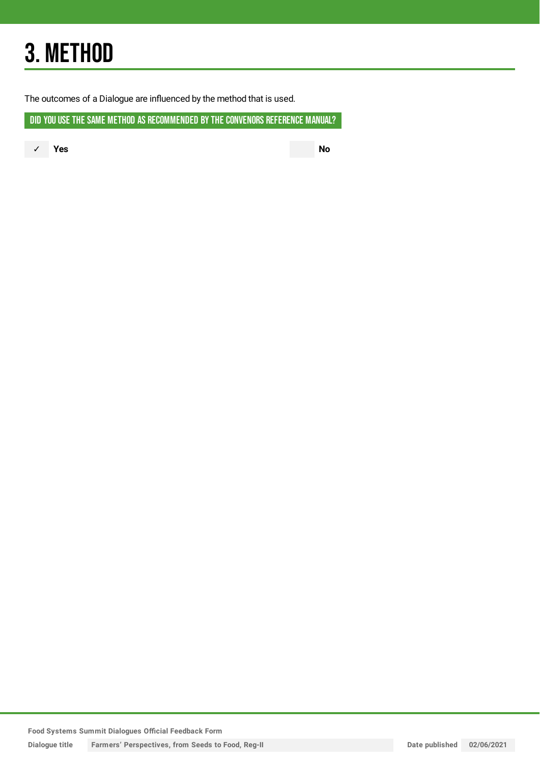## 3. METHOD

The outcomes of a Dialogue are influenced by the method that is used.

DID YOU USE THE SAME METHOD AS RECOMMENDED BY THE CONVENORS REFERENCE MANUAL?

✓ **Yes No**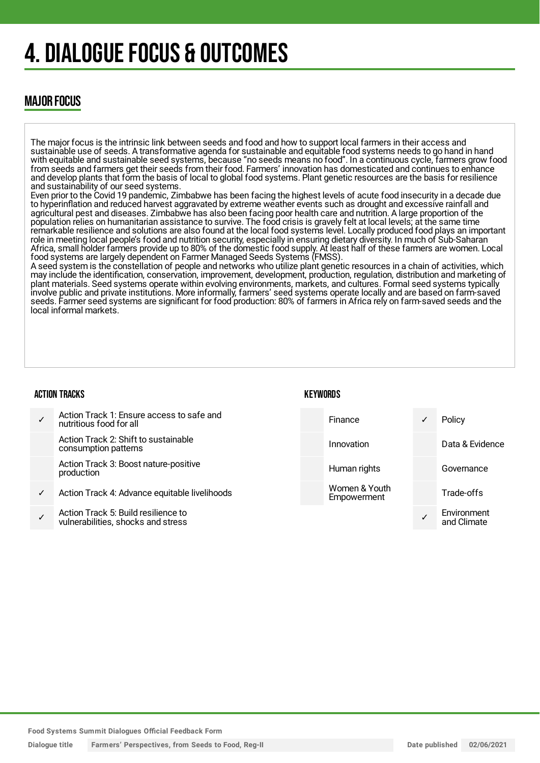## 4. DIALOGUE FOCUS & OUTCOMES

### MAJOR FOCUS

The major focus is the intrinsic link between seeds and food and how to support local farmers in their access and sustainable use of seeds. A transformative agenda for sustainable and equitable food systems needs to go hand in hand with equitable and sustainable seed systems, because "no seeds means no food". In a continuous cycle, farmers grow food from seeds and farmers get their seeds from their food. Farmers' innovation has domesticated and continues to enhance and develop plants that form the basis of local to global food systems. Plant genetic resources are the basis for resilience and sustainability of our seed systems.

Even prior to the Covid 19 pandemic, Zimbabwe has been facing the highest levels of acute food insecurity in a decade due to hyperinflation and reduced harvest aggravated by extreme weather events such as drought and excessive rainfall and agricultural pest and diseases. Zimbabwe has also been facing poor health care and nutrition. A large proportion of the population relies on humanitarian assistance to survive. The food crisis is gravely felt at local levels; at the same time remarkable resilience and solutions are also found at the local food systems level. Locally produced food plays an important role in meeting local people's food and nutrition security, especially in ensuring dietary diversity. In much of Sub-Saharan Africa, small holder farmers provide up to 80% of the domestic food supply. At least half of these farmers are women. Local food systems are largely dependent on Farmer Managed Seeds Systems (FMSS).

A seed system is the constellation of people and networks who utilize plant genetic resources in a chain of activities, which may include the identification, conservation, improvement, development, production, regulation, distribution and marketing of plant materials. Seed systems operate within evolving environments, markets, and cultures. Formal seed systems typically involve public and private institutions. More informally, farmers' seed systems operate locally and are based on farm-saved seeds. Farmer seed systems are significant for food production: 80% of farmers in Africa rely on farm-saved seeds and the local informal markets.

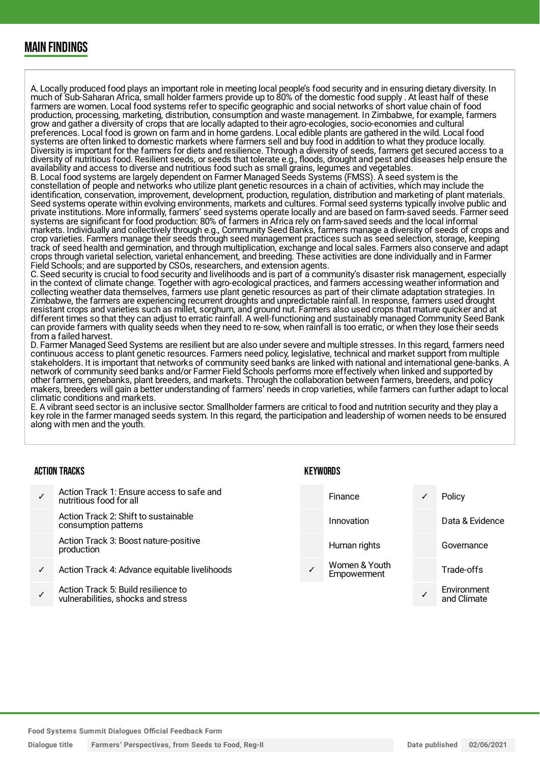A. Locally produced food plays an important role in meeting local people's food security and in ensuring dietary diversity. In much of Sub-Saharan Africa, small holder farmers provide up to 80% of the domestic food supply . At least half of these farmers are women. Local food systems refer to specific geographic and social networks of short value chain of food production, processing, marketing, distribution, consumption and waste management. In Zimbabwe, for example, farmers grow and gather a diversity of crops that are locally adapted to their agro-ecologies, socio-economies and cultural preferences. Local food is grown on farm and in home gardens. Local edible plants are gathered in the wild. Local food systems are often linked to domestic markets where farmers sell and buy food in addition to what they produce locally. Diversity is important for the farmers for diets and resilience. Through a diversity of seeds, farmers get secured access to a diversity of nutritious food. Resilient seeds, or seeds that tolerate e.g., floods, drought and pest and diseases help ensure the availability and access to diverse and nutritious food such as small grains, legumes and vegetables.

B. Local food systems are largely dependent on Farmer Managed Seeds Systems (FMSS). A seed system is the constellation of people and networks who utilize plant genetic resources in a chain of activities, which may include the identification, conservation, improvement, development, production, regulation, distribution and marketing of plant materials. Seed systems operate within evolving environments, markets and cultures. Formal seed systems typically involve public and private institutions. More informally, farmers' seed systems operate locally and are based on farm-saved seeds. Farmer seed systems are significant for food production: 80% of farmers in Africa rely on farm-saved seeds and the local informal markets. Individually and collectively through e.g., Community Seed Banks, farmers manage a diversity of seeds of crops and crop varieties. Farmers manage their seeds through seed management practices such as seed selection, storage, keeping track of seed health and germination, and through multiplication, exchange and local sales. Farmers also conserve and adapt crops through varietal selection, varietal enhancement, and breeding. These activities are done individually and in Farmer Field Schools; and are supported by CSOs, researchers, and extension agents.

C. Seed security is crucial to food security and livelihoods and is part of a community's disaster risk management, especially in the context of climate change. Together with agro-ecological practices, and farmers accessing weather information and collecting weather data themselves, farmers use plant genetic resources as part of their climate adaptation strategies. In Zimbabwe, the farmers are experiencing recurrent droughts and unpredictable rainfall. In response, farmers used drought resistant crops and varieties such as millet, sorghum, and ground nut. Farmers also used crops that mature quicker and at different times so that they can adjust to erratic rainfall. A well-functioning and sustainably managed Community Seed Bank can provide farmers with quality seeds when they need to re-sow, when rainfall is too erratic, or when they lose their seeds from a failed harvest.

D. Farmer Managed Seed Systems are resilient but are also under severe and multiple stresses. In this regard, farmers need continuous access to plant genetic resources. Farmers need policy, legislative, technical and market support from multiple stakeholders. It is important that networks of community seed banks are linked with national and international gene-banks. A network of community seed banks and/or Farmer Field Schools performs more effectively when linked and supported by other farmers, genebanks, plant breeders, and markets. Through the collaboration between farmers, breeders, and policy makers, breeders will gain a better understanding of farmers' needs in crop varieties, while farmers can further adapt to local climatic conditions and markets.

E. A vibrant seed sector is an inclusive sector. Smallholder farmers are critical to food and nutrition security and they play a key role in the farmer managed seeds system. In this regard, the participation and leadership of women needs to be ensured along with men and the youth.

#### ACTION TRACKS ✓ Action Track 1: Ensure access to safe and nutritious food for all Action Track 2: Shift to sustainable consumption patterns Action Track 3: Boost nature-positive production Action Track 4: Advance equitable livelihoods ✓ Action Track 5: Build resilience to vulnerabilities, shocks and stress **KEYWORDS** Finance ✓ Policy Innovation Data & Evidence Human rights **Governance** Women & Youth Empowerment Trade-offs ✓ Environment and Climate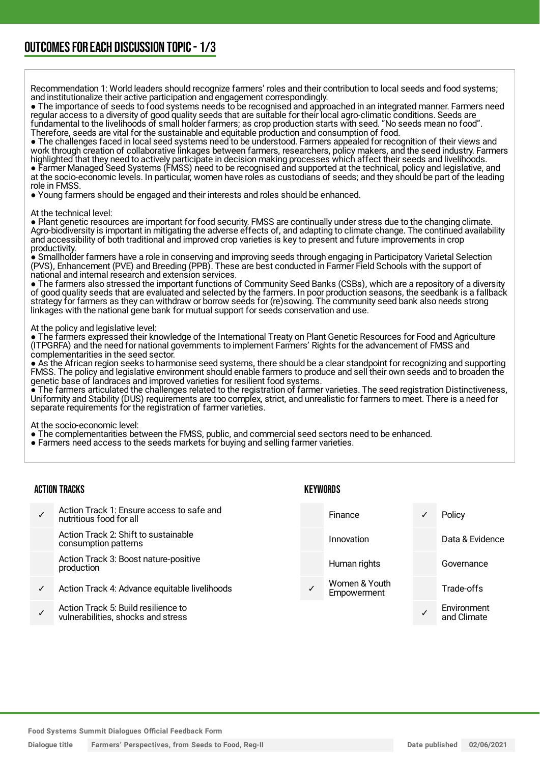Recommendation 1: World leaders should recognize farmers' roles and their contribution to local seeds and food systems; and institutionalize their active participation and engagement correspondingly.

● The importance of seeds to food systems needs to be recognised and approached in an integrated manner. Farmers need regular access to a diversity of good quality seeds that are suitable for their local agro-climatic conditions. Seeds are fundamental to the livelihoods of small holder farmers; as crop production starts with seed. "No seeds mean no food". Therefore, seeds are vital for the sustainable and equitable production and consumption of food.

● The challenges faced in local seed systems need to be understood. Farmers appealed for recognition of their views and work through creation of collaborative linkages between farmers, researchers, policy makers, and the seed industry. Farmers highlighted that they need to actively participate in decision making processes which affect their seeds and livelihoods. ● Farmer Managed Seed Systems (FMSS) need to be recognised and supported at the technical, policy and legislative, and at the socio-economic levels. In particular, women have roles as custodians of seeds; and they should be part of the leading role in FMSS.

● Young farmers should be engaged and their interests and roles should be enhanced.

#### At the technical level:

● Plant genetic resources are important for food security. FMSS are continually under stress due to the changing climate. Agro-biodiversity is important in mitigating the adverse effects of, and adapting to climate change. The continued availability and accessibility of both traditional and improved crop varieties is key to present and future improvements in crop productivity.

● Smallholder farmers have a role in conserving and improving seeds through engaging in Participatory Varietal Selection (PVS), Enhancement (PVE) and Breeding (PPB). These are best conducted in Farmer Field Schools with the support of national and internal research and extension services.

■ The farmers also stressed the important functions of Community Seed Banks (CSBs), which are a repository of a diversity of good quality seeds that are evaluated and selected by the farmers. In poor production seasons, the seedbank is a fallback strategy for farmers as they can withdraw or borrow seeds for (re)sowing. The community seed bank also needs strong linkages with the national gene bank for mutual support for seeds conservation and use.

#### At the policy and legislative level:

● The farmers expressed their knowledge of the International Treaty on Plant Genetic Resources for Food and Agriculture (ITPGRFA) and the need for national governments to implement Farmers' Rights for the advancement of FMSS and complementarities in the seed sector.

● As the African region seeks to harmonise seed systems, there should be a clear standpoint for recognizing and supporting FMSS. The policy and legislative environment should enable farmers to produce and sell their own seeds and to broaden the genetic base of landraces and improved varieties for resilient food systems.

● The farmers articulated the challenges related to the registration of farmer varieties. The seed registration Distinctiveness, Uniformity and Stability (DUS) requirements are too complex, strict, and unrealistic for farmers to meet. There is a need for separate requirements for the registration of farmer varieties.

At the socio-economic level:

● The complementarities between the FMSS, public, and commercial seed sectors need to be enhanced.

● Farmers need access to the seeds markets for buying and selling farmer varieties.

| <b>ACTION TRACKS</b> |                                                                           | KEYWORDS |                              |  |                            |
|----------------------|---------------------------------------------------------------------------|----------|------------------------------|--|----------------------------|
|                      | Action Track 1: Ensure access to safe and<br>nutritious food for all      |          | Finance                      |  | Policy                     |
|                      | Action Track 2: Shift to sustainable<br>consumption patterns              |          | Innovation                   |  | Data & Evidence            |
|                      | Action Track 3: Boost nature-positive<br>production                       |          | Human rights                 |  | Governance                 |
| ✓                    | Action Track 4: Advance equitable livelihoods                             |          | Women & Youth<br>Empowerment |  | Trade-offs                 |
|                      | Action Track 5: Build resilience to<br>vulnerabilities, shocks and stress |          |                              |  | Environment<br>and Climate |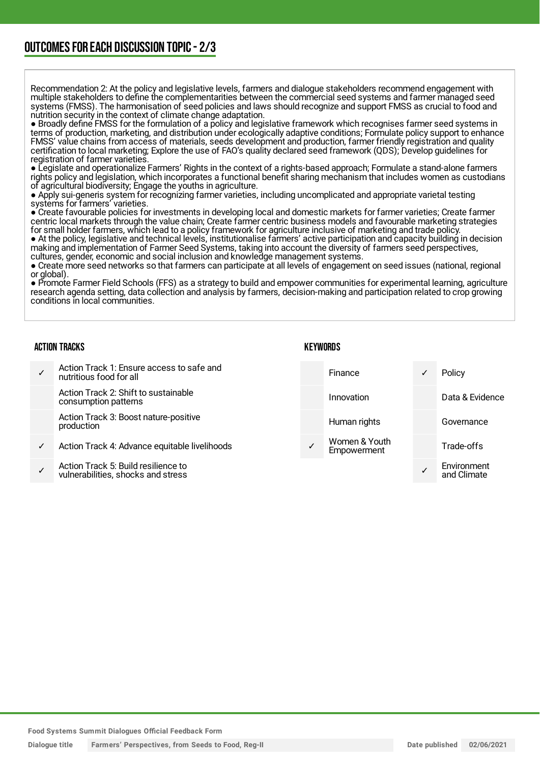### OUTCOMESFOR EACH DISCUSSION TOPIC- 2/3

Recommendation 2: At the policy and legislative levels, farmers and dialogue stakeholders recommend engagement with multiple stakeholders to define the complementarities between the commercial seed systems and farmer managed seed systems (FMSS). The harmonisation of seed policies and laws should recognize and support FMSS as crucial to food and nutrition security in the context of climate change adaptation.

● Broadly define FMSS for the formulation of a policy and legislative framework which recognises farmer seed systems in terms of production, marketing, and distribution under ecologically adaptive conditions; Formulate policy support to enhance FMSS' value chains from access of materials, seeds development and production, farmer friendly registration and quality certification to local marketing; Explore the use of FAO's quality declared seed framework (QDS); Develop guidelines for registration of farmer varieties.

● Legislate and operationalize Farmers' Rights in the context of a rights-based approach; Formulate a stand-alone farmers rights policy and legislation, which incorporates a functional benefit sharing mechanism that includes women as custodians of agricultural biodiversity; Engage the youths in agriculture.

● Apply sui-generis system for recognizing farmer varieties, including uncomplicated and appropriate varietal testing systems for farmers' varieties.

● Create favourable policies for investments in developing local and domestic markets for farmer varieties; Create farmer centric local markets through the value chain; Create farmer centric business models and favourable marketing strategies for small holder farmers, which lead to a policy framework for agriculture inclusive of marketing and trade policy. ● At the policy, legislative and technical levels, institutionalise farmers' active participation and capacity building in decision making and implementation of Farmer Seed Systems, taking into account the diversity of farmers seed perspectives,

cultures, gender, economic and social inclusion and knowledge management systems.

● Create more seed networks so that farmers can participate at all levels of engagement on seed issues (national, regional or global).

● Promote Farmer Field Schools (FFS) as a strategy to build and empower communities for experimental learning, agriculture research agenda setting, data collection and analysis by farmers, decision-making and participation related to crop growing conditions in local communities.

#### ACTION TRACKS ✓ Action Track 1: Ensure access to safe and nutritious food for all Action Track 2: Shift to sustainable consumption patterns Action Track 3: Boost nature-positive production Action Track 4: Advance equitable livelihoods ✓ Action Track 5: Build resilience to vulnerabilities, shocks and stress **KEYWORDS** Finance ✓ Policy Innovation Data & Evidence Human rights **Governance** Women & Youth Empowerment Trade-offs ✓ **Environment** and Climate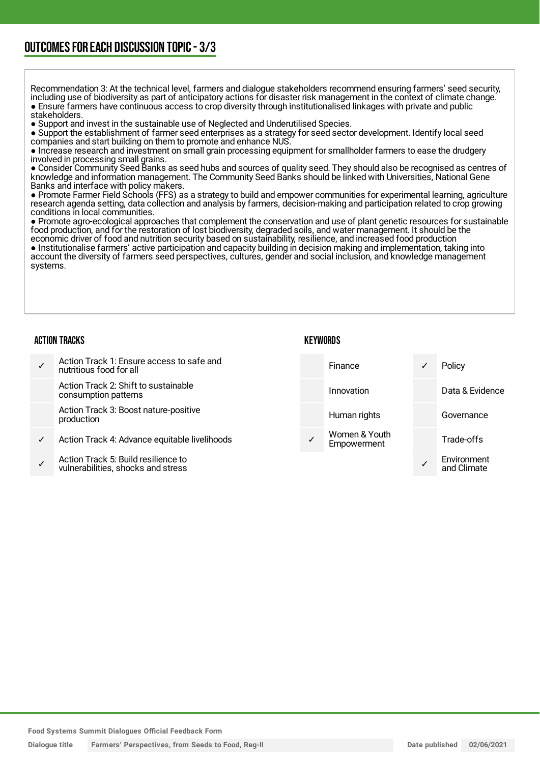### OUTCOMESFOR EACH DISCUSSION TOPIC- 3/3

Recommendation 3: At the technical level, farmers and dialogue stakeholders recommend ensuring farmers' seed security, including use of biodiversity as part of anticipatory actions for disaster risk management in the context of climate change. ● Ensure farmers have continuous access to crop diversity through institutionalised linkages with private and public stakeholders.

● Support and invest in the sustainable use of Neglected and Underutilised Species.

● Support the establishment of farmer seed enterprises as a strategy for seed sector development. Identify local seed companies and start building on them to promote and enhance NUS.

● Increase research and investment on small grain processing equipment for smallholder farmers to ease the drudgery involved in processing small grains.

● Consider Community Seed Banks as seed hubs and sources of quality seed. They should also be recognised as centres of knowledge and information management. The Community Seed Banks should be linked with Universities, National Gene Banks and interface with policy makers.

● Promote Farmer Field Schools (FFS) as a strategy to build and empower communities for experimental learning, agriculture research agenda setting, data collection and analysis by farmers, decision-making and participation related to crop growing conditions in local communities.

● Promote agro-ecological approaches that complement the conservation and use of plant genetic resources for sustainable food production, and for the restoration of lost biodiversity, degraded soils, and water management. It should be the economic driver of food and nutrition security based on sustainability, resilience, and increased food production

● Institutionalise farmers' active participation and capacity building in decision making and implementation, taking into account the diversity of farmers seed perspectives, cultures, gender and social inclusion, and knowledge management systems.

#### ACTION TRACKS

**KEYWORDS** 

|   | Action Track 1: Ensure access to safe and<br>nutritious food for all      | <b>Finance</b>               | $\checkmark$ | Policy                     |
|---|---------------------------------------------------------------------------|------------------------------|--------------|----------------------------|
|   | Action Track 2: Shift to sustainable<br>consumption patterns              | Innovation                   |              | Data & Evidence            |
|   | Action Track 3: Boost nature-positive<br>production                       | Human rights                 |              | Governance                 |
| ✓ | Action Track 4: Advance equitable livelihoods                             | Women & Youth<br>Empowerment |              | Trade-offs                 |
|   | Action Track 5: Build resilience to<br>vulnerabilities, shocks and stress |                              |              | Environment<br>and Climate |